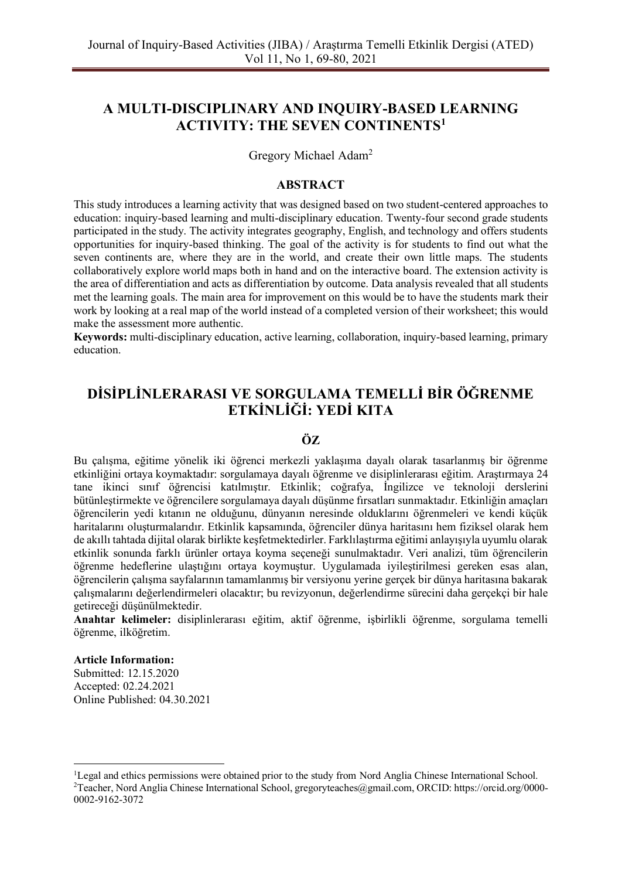## **A MULTI-DISCIPLINARY AND INQUIRY-BASED LEARNING ACTIVITY: THE SEVEN CONTINENTS<sup>1</sup>**

Gregory Michael Adam<sup>2</sup>

## **ABSTRACT**

This study introduces a learning activity that was designed based on two student-centered approaches to education: inquiry-based learning and multi-disciplinary education. Twenty-four second grade students participated in the study. The activity integrates geography, English, and technology and offers students opportunities for inquiry-based thinking. The goal of the activity is for students to find out what the seven continents are, where they are in the world, and create their own little maps. The students collaboratively explore world maps both in hand and on the interactive board. The extension activity is the area of differentiation and acts as differentiation by outcome. Data analysis revealed that all students met the learning goals. The main area for improvement on this would be to have the students mark their work by looking at a real map of the world instead of a completed version of their worksheet; this would make the assessment more authentic.

**Keywords:** multi-disciplinary education, active learning, collaboration, inquiry-based learning, primary education.

# **DİSİPLİNLERARASI VE SORGULAMA TEMELLİ BİR ÖĞRENME ETKİNLİĞİ: YEDİ KITA**

## **ÖZ**

Bu çalışma, eğitime yönelik iki öğrenci merkezli yaklaşıma dayalı olarak tasarlanmış bir öğrenme etkinliğini ortaya koymaktadır: sorgulamaya dayalı öğrenme ve disiplinlerarası eğitim. Araştırmaya 24 tane ikinci sınıf öğrencisi katılmıştır. Etkinlik; coğrafya, İngilizce ve teknoloji derslerini bütünleştirmekte ve öğrencilere sorgulamaya dayalı düşünme fırsatları sunmaktadır. Etkinliğin amaçları öğrencilerin yedi kıtanın ne olduğunu, dünyanın neresinde olduklarını öğrenmeleri ve kendi küçük haritalarını oluşturmalarıdır. Etkinlik kapsamında, öğrenciler dünya haritasını hem fiziksel olarak hem de akıllı tahtada dijital olarak birlikte keşfetmektedirler. Farklılaştırma eğitimi anlayışıyla uyumlu olarak etkinlik sonunda farklı ürünler ortaya koyma seçeneği sunulmaktadır. Veri analizi, tüm öğrencilerin öğrenme hedeflerine ulaştığını ortaya koymuştur. Uygulamada iyileştirilmesi gereken esas alan, öğrencilerin çalışma sayfalarının tamamlanmış bir versiyonu yerine gerçek bir dünya haritasına bakarak çalışmalarını değerlendirmeleri olacaktır; bu revizyonun, değerlendirme sürecini daha gerçekçi bir hale getireceği düşünülmektedir.

**Anahtar kelimeler:** disiplinlerarası eğitim, aktif öğrenme, işbirlikli öğrenme, sorgulama temelli öğrenme, ilköğretim.

## **Article Information:**

Submitted: 12.15.2020 Accepted: 02.24.2021 Online Published: 04.30.2021

<sup>&</sup>lt;sup>1</sup>Legal and ethics permissions were obtained prior to the study from Nord Anglia Chinese International School. <sup>2</sup>Teacher, Nord Anglia Chinese International School, gregoryteaches@gmail.com, ORCID: https://orcid.org/0000- 0002-9162-3072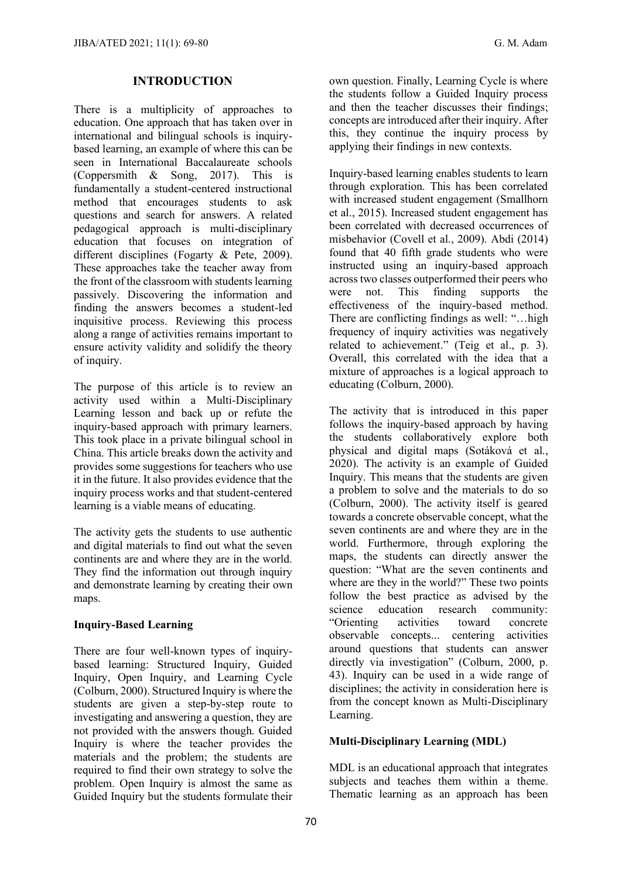## **INTRODUCTION**

There is a multiplicity of approaches to education. One approach that has taken over in international and bilingual schools is inquirybased learning, an example of where this can be seen in International Baccalaureate schools (Coppersmith & Song, 2017). This is fundamentally a student-centered instructional method that encourages students to ask questions and search for answers. A related pedagogical approach is multi-disciplinary education that focuses on integration of different disciplines (Fogarty & Pete, 2009). These approaches take the teacher away from the front of the classroom with students learning passively. Discovering the information and finding the answers becomes a student-led inquisitive process. Reviewing this process along a range of activities remains important to ensure activity validity and solidify the theory of inquiry.

The purpose of this article is to review an activity used within a Multi-Disciplinary Learning lesson and back up or refute the inquiry-based approach with primary learners. This took place in a private bilingual school in China. This article breaks down the activity and provides some suggestions for teachers who use it in the future. It also provides evidence that the inquiry process works and that student-centered learning is a viable means of educating.

The activity gets the students to use authentic and digital materials to find out what the seven continents are and where they are in the world. They find the information out through inquiry and demonstrate learning by creating their own maps.

#### **Inquiry-Based Learning**

There are four well-known types of inquirybased learning: Structured Inquiry, Guided Inquiry, Open Inquiry, and Learning Cycle (Colburn, 2000). Structured Inquiry is where the students are given a step-by-step route to investigating and answering a question, they are not provided with the answers though. Guided Inquiry is where the teacher provides the materials and the problem; the students are required to find their own strategy to solve the problem. Open Inquiry is almost the same as Guided Inquiry but the students formulate their own question. Finally, Learning Cycle is where the students follow a Guided Inquiry process and then the teacher discusses their findings; concepts are introduced after their inquiry. After this, they continue the inquiry process by applying their findings in new contexts.

Inquiry-based learning enables students to learn through exploration. This has been correlated with increased student engagement (Smallhorn et al., 2015). Increased student engagement has been correlated with decreased occurrences of misbehavior (Covell et al., 2009). Abdi (2014) found that 40 fifth grade students who were instructed using an inquiry-based approach across two classes outperformed their peers who were not. This finding supports the effectiveness of the inquiry-based method. There are conflicting findings as well: "…high frequency of inquiry activities was negatively related to achievement." (Teig et al., p. 3). Overall, this correlated with the idea that a mixture of approaches is a logical approach to educating (Colburn, 2000).

The activity that is introduced in this paper follows the inquiry-based approach by having the students collaboratively explore both physical and digital maps (Sotáková et al., 2020). The activity is an example of Guided Inquiry. This means that the students are given a problem to solve and the materials to do so (Colburn, 2000). The activity itself is geared towards a concrete observable concept, what the seven continents are and where they are in the world. Furthermore, through exploring the maps, the students can directly answer the question: "What are the seven continents and where are they in the world?" These two points follow the best practice as advised by the science education research community: "Orienting activities toward concrete observable concepts... centering activities around questions that students can answer directly via investigation" (Colburn, 2000, p. 43). Inquiry can be used in a wide range of disciplines; the activity in consideration here is from the concept known as Multi-Disciplinary Learning.

## **Multi-Disciplinary Learning (MDL)**

MDL is an educational approach that integrates subjects and teaches them within a theme. Thematic learning as an approach has been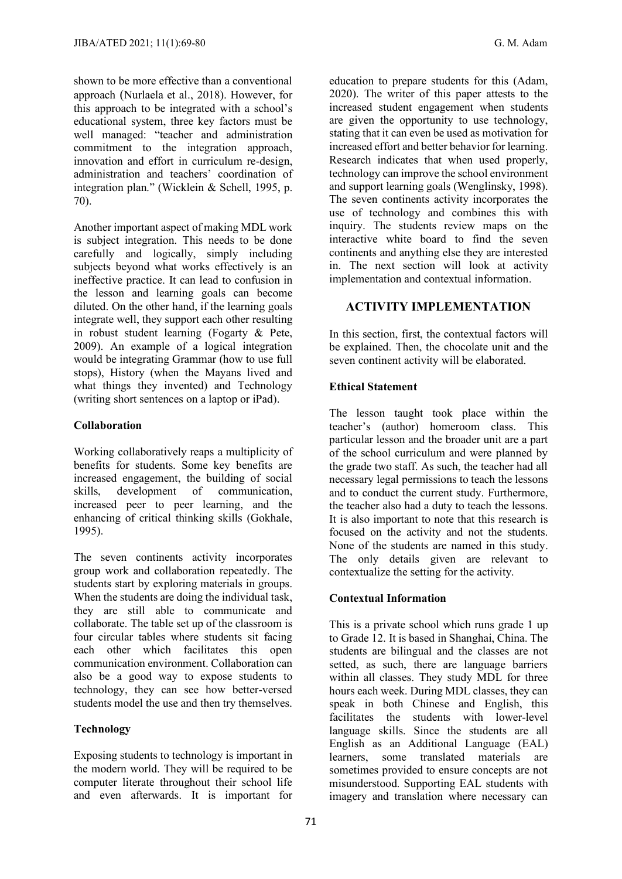shown to be more effective than a conventional approach (Nurlaela et al., 2018). However, for this approach to be integrated with a school's educational system, three key factors must be well managed: "teacher and administration commitment to the integration approach, innovation and effort in curriculum re-design, administration and teachers' coordination of integration plan." (Wicklein & Schell, 1995, p. 70).

Another important aspect of making MDL work is subject integration. This needs to be done carefully and logically, simply including subjects beyond what works effectively is an ineffective practice. It can lead to confusion in the lesson and learning goals can become diluted. On the other hand, if the learning goals integrate well, they support each other resulting in robust student learning (Fogarty & Pete, 2009). An example of a logical integration would be integrating Grammar (how to use full stops), History (when the Mayans lived and what things they invented) and Technology (writing short sentences on a laptop or iPad).

## **Collaboration**

Working collaboratively reaps a multiplicity of benefits for students. Some key benefits are increased engagement, the building of social skills, development of communication, increased peer to peer learning, and the enhancing of critical thinking skills (Gokhale, 1995).

The seven continents activity incorporates group work and collaboration repeatedly. The students start by exploring materials in groups. When the students are doing the individual task, they are still able to communicate and collaborate. The table set up of the classroom is four circular tables where students sit facing each other which facilitates this open communication environment. Collaboration can also be a good way to expose students to technology, they can see how better-versed students model the use and then try themselves.

## **Technology**

Exposing students to technology is important in the modern world. They will be required to be computer literate throughout their school life and even afterwards. It is important for education to prepare students for this (Adam, 2020). The writer of this paper attests to the increased student engagement when students are given the opportunity to use technology, stating that it can even be used as motivation for increased effort and better behavior for learning. Research indicates that when used properly, technology can improve the school environment and support learning goals (Wenglinsky, 1998). The seven continents activity incorporates the use of technology and combines this with inquiry. The students review maps on the interactive white board to find the seven continents and anything else they are interested in. The next section will look at activity implementation and contextual information.

## **ACTIVITY IMPLEMENTATION**

In this section, first, the contextual factors will be explained. Then, the chocolate unit and the seven continent activity will be elaborated.

## **Ethical Statement**

The lesson taught took place within the teacher's (author) homeroom class. This particular lesson and the broader unit are a part of the school curriculum and were planned by the grade two staff. As such, the teacher had all necessary legal permissions to teach the lessons and to conduct the current study. Furthermore, the teacher also had a duty to teach the lessons. It is also important to note that this research is focused on the activity and not the students. None of the students are named in this study. The only details given are relevant to contextualize the setting for the activity.

#### **Contextual Information**

This is a private school which runs grade 1 up to Grade 12. It is based in Shanghai, China. The students are bilingual and the classes are not setted, as such, there are language barriers within all classes. They study MDL for three hours each week. During MDL classes, they can speak in both Chinese and English, this facilitates the students with lower-level language skills. Since the students are all English as an Additional Language (EAL) learners, some translated materials are sometimes provided to ensure concepts are not misunderstood. Supporting EAL students with imagery and translation where necessary can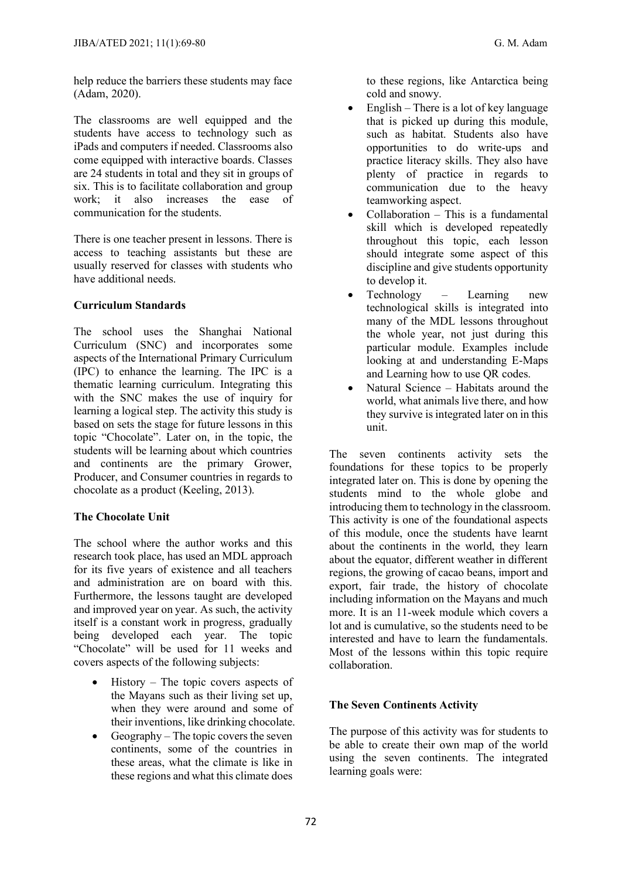help reduce the barriers these students may face (Adam, 2020).

The classrooms are well equipped and the students have access to technology such as iPads and computers if needed. Classrooms also come equipped with interactive boards. Classes are 24 students in total and they sit in groups of six. This is to facilitate collaboration and group work; it also increases the ease of communication for the students.

There is one teacher present in lessons. There is access to teaching assistants but these are usually reserved for classes with students who have additional needs.

#### **Curriculum Standards**

The school uses the Shanghai National Curriculum (SNC) and incorporates some aspects of the International Primary Curriculum (IPC) to enhance the learning. The IPC is a thematic learning curriculum. Integrating this with the SNC makes the use of inquiry for learning a logical step. The activity this study is based on sets the stage for future lessons in this topic "Chocolate". Later on, in the topic, the students will be learning about which countries and continents are the primary Grower, Producer, and Consumer countries in regards to chocolate as a product (Keeling, 2013).

#### **The Chocolate Unit**

The school where the author works and this research took place, has used an MDL approach for its five years of existence and all teachers and administration are on board with this. Furthermore, the lessons taught are developed and improved year on year. As such, the activity itself is a constant work in progress, gradually being developed each year. The topic "Chocolate" will be used for 11 weeks and covers aspects of the following subjects:

- History The topic covers aspects of the Mayans such as their living set up, when they were around and some of their inventions, like drinking chocolate.
- Geography The topic covers the seven continents, some of the countries in these areas, what the climate is like in these regions and what this climate does

to these regions, like Antarctica being cold and snowy.

- English There is a lot of key language that is picked up during this module, such as habitat. Students also have opportunities to do write-ups and practice literacy skills. They also have plenty of practice in regards to communication due to the heavy teamworking aspect.
- Collaboration This is a fundamental skill which is developed repeatedly throughout this topic, each lesson should integrate some aspect of this discipline and give students opportunity to develop it.
- Technology Learning new technological skills is integrated into many of the MDL lessons throughout the whole year, not just during this particular module. Examples include looking at and understanding E-Maps and Learning how to use QR codes.
- Natural Science Habitats around the world, what animals live there, and how they survive is integrated later on in this unit.

The seven continents activity sets the foundations for these topics to be properly integrated later on. This is done by opening the students mind to the whole globe and introducing them to technology in the classroom. This activity is one of the foundational aspects of this module, once the students have learnt about the continents in the world, they learn about the equator, different weather in different regions, the growing of cacao beans, import and export, fair trade, the history of chocolate including information on the Mayans and much more. It is an 11-week module which covers a lot and is cumulative, so the students need to be interested and have to learn the fundamentals. Most of the lessons within this topic require collaboration.

## **The Seven Continents Activity**

The purpose of this activity was for students to be able to create their own map of the world using the seven continents. The integrated learning goals were: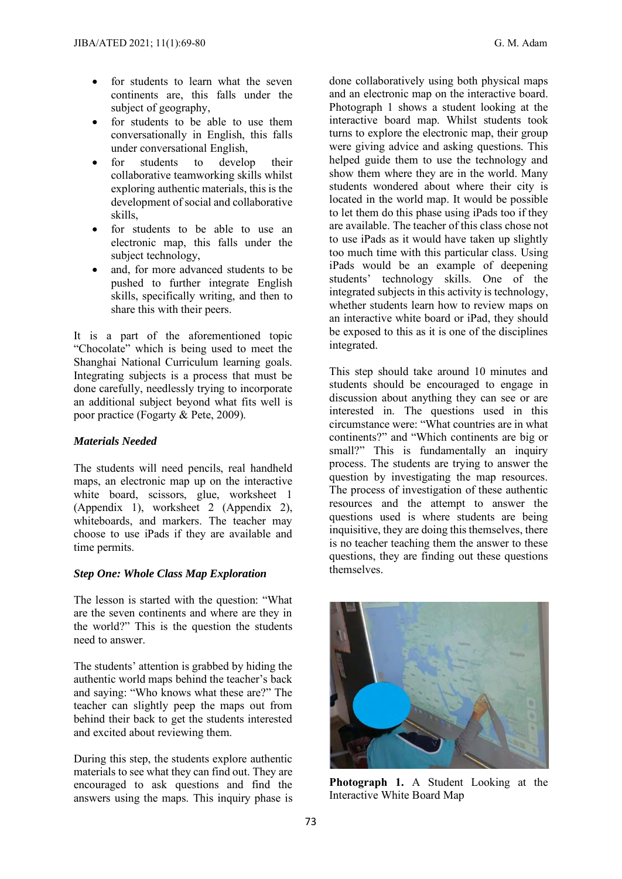- for students to learn what the seven continents are, this falls under the subject of geography,
- for students to be able to use them conversationally in English, this falls under conversational English,
- for students to develop their collaborative teamworking skills whilst exploring authentic materials, this is the development of social and collaborative skills,
- for students to be able to use an electronic map, this falls under the subject technology,
- and, for more advanced students to be pushed to further integrate English skills, specifically writing, and then to share this with their peers.

It is a part of the aforementioned topic "Chocolate" which is being used to meet the Shanghai National Curriculum learning goals. Integrating subjects is a process that must be done carefully, needlessly trying to incorporate an additional subject beyond what fits well is poor practice (Fogarty & Pete, 2009).

#### *Materials Needed*

The students will need pencils, real handheld maps, an electronic map up on the interactive white board, scissors, glue, worksheet 1 (Appendix 1), worksheet 2 (Appendix 2), whiteboards, and markers. The teacher may choose to use iPads if they are available and time permits.

## *Step One: Whole Class Map Exploration*

The lesson is started with the question: "What are the seven continents and where are they in the world?" This is the question the students need to answer.

The students' attention is grabbed by hiding the authentic world maps behind the teacher's back and saying: "Who knows what these are?" The teacher can slightly peep the maps out from behind their back to get the students interested and excited about reviewing them.

During this step, the students explore authentic materials to see what they can find out. They are encouraged to ask questions and find the answers using the maps. This inquiry phase is done collaboratively using both physical maps and an electronic map on the interactive board. Photograph 1 shows a student looking at the interactive board map. Whilst students took turns to explore the electronic map, their group were giving advice and asking questions. This helped guide them to use the technology and show them where they are in the world. Many students wondered about where their city is located in the world map. It would be possible to let them do this phase using iPads too if they are available. The teacher of this class chose not to use iPads as it would have taken up slightly too much time with this particular class. Using iPads would be an example of deepening students' technology skills. One of the integrated subjects in this activity is technology, whether students learn how to review maps on an interactive white board or iPad, they should be exposed to this as it is one of the disciplines integrated.

This step should take around 10 minutes and students should be encouraged to engage in discussion about anything they can see or are interested in. The questions used in this circumstance were: "What countries are in what continents?" and "Which continents are big or small?" This is fundamentally an inquiry process. The students are trying to answer the question by investigating the map resources. The process of investigation of these authentic resources and the attempt to answer the questions used is where students are being inquisitive, they are doing this themselves, there is no teacher teaching them the answer to these questions, they are finding out these questions themselves.



**Photograph 1.** A Student Looking at the Interactive White Board Map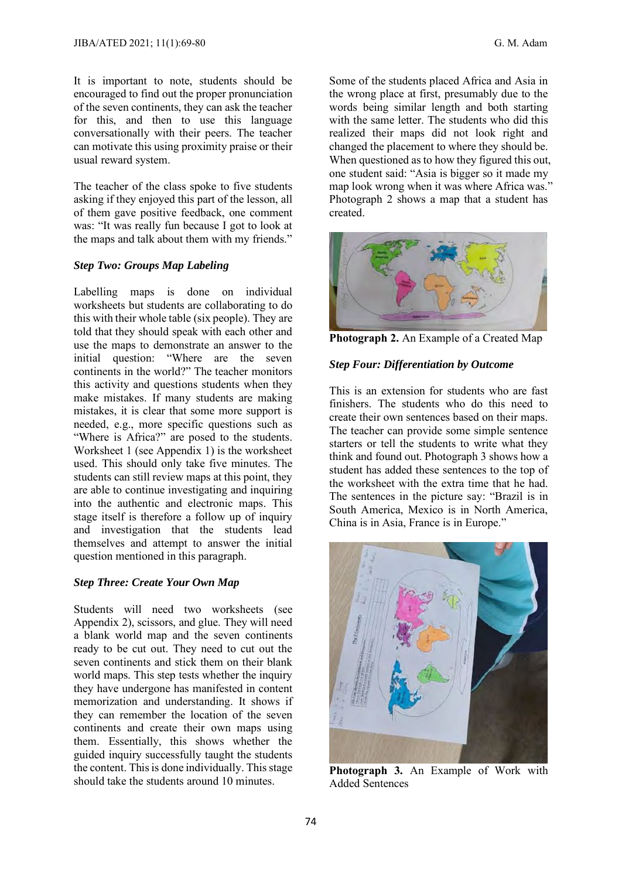It is important to note, students should be encouraged to find out the proper pronunciation of the seven continents, they can ask the teacher for this, and then to use this language conversationally with their peers. The teacher can motivate this using proximity praise or their usual reward system.

The teacher of the class spoke to five students asking if they enjoyed this part of the lesson, all of them gave positive feedback, one comment was: "It was really fun because I got to look at the maps and talk about them with my friends."

#### *Step Two: Groups Map Labeling*

Labelling maps is done on individual worksheets but students are collaborating to do this with their whole table (six people). They are told that they should speak with each other and use the maps to demonstrate an answer to the initial question: "Where are the seven continents in the world?" The teacher monitors this activity and questions students when they make mistakes. If many students are making mistakes, it is clear that some more support is needed, e.g., more specific questions such as "Where is Africa?" are posed to the students. Worksheet 1 (see Appendix 1) is the worksheet used. This should only take five minutes. The students can still review maps at this point, they are able to continue investigating and inquiring into the authentic and electronic maps. This stage itself is therefore a follow up of inquiry and investigation that the students lead themselves and attempt to answer the initial question mentioned in this paragraph.

#### *Step Three: Create Your Own Map*

Students will need two worksheets (see Appendix 2), scissors, and glue. They will need a blank world map and the seven continents ready to be cut out. They need to cut out the seven continents and stick them on their blank world maps. This step tests whether the inquiry they have undergone has manifested in content memorization and understanding. It shows if they can remember the location of the seven continents and create their own maps using them. Essentially, this shows whether the guided inquiry successfully taught the students the content. This is done individually. This stage should take the students around 10 minutes.

Some of the students placed Africa and Asia in the wrong place at first, presumably due to the words being similar length and both starting with the same letter. The students who did this realized their maps did not look right and changed the placement to where they should be. When questioned as to how they figured this out, one student said: "Asia is bigger so it made my map look wrong when it was where Africa was." Photograph 2 shows a map that a student has created.



**Photograph 2.** An Example of a Created Map

#### *Step Four: Differentiation by Outcome*

This is an extension for students who are fast finishers. The students who do this need to create their own sentences based on their maps. The teacher can provide some simple sentence starters or tell the students to write what they think and found out. Photograph 3 shows how a student has added these sentences to the top of the worksheet with the extra time that he had. The sentences in the picture say: "Brazil is in South America, Mexico is in North America, China is in Asia, France is in Europe."



**Photograph 3.** An Example of Work with Added Sentences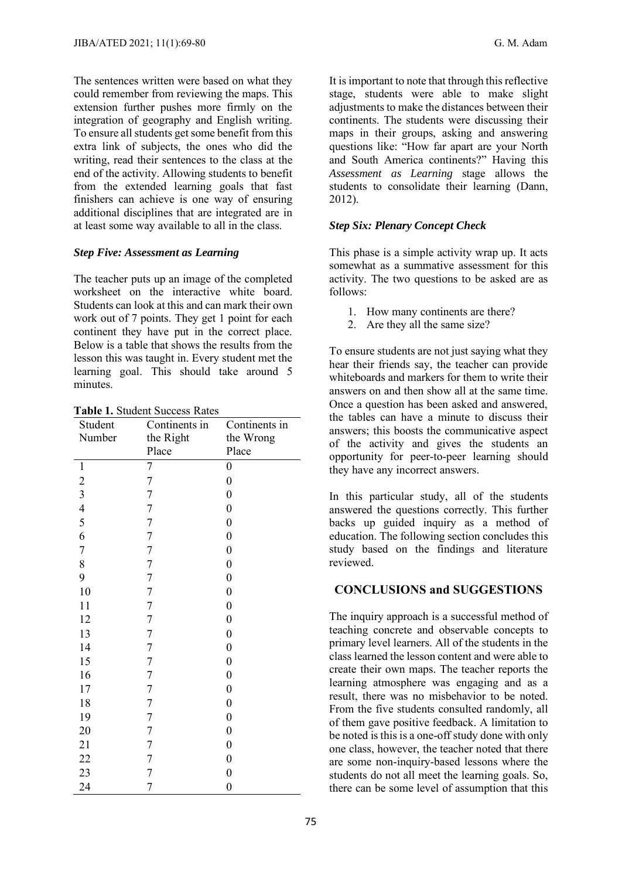The sentences written were based on what they could remember from reviewing the maps. This extension further pushes more firmly on the integration of geography and English writing. To ensure all students get some benefit from this extra link of subjects, the ones who did the writing, read their sentences to the class at the end of the activity. Allowing students to benefit from the extended learning goals that fast finishers can achieve is one way of ensuring additional disciplines that are integrated are in at least some way available to all in the class.

#### *Step Five: Assessment as Learning*

The teacher puts up an image of the completed worksheet on the interactive white board. Students can look at this and can mark their own work out of 7 points. They get 1 point for each continent they have put in the correct place. Below is a table that shows the results from the lesson this was taught in. Every student met the learning goal. This should take around 5 minutes.

|  | <b>Table 1. Student Success Rates</b> |
|--|---------------------------------------|
|--|---------------------------------------|

| Student                                    | Continents in  | Continents in    |
|--------------------------------------------|----------------|------------------|
| Number                                     | the Right      | the Wrong        |
|                                            | Place          | Place            |
| $\mathbf 1$                                | 7              | $\boldsymbol{0}$ |
| $\overline{\mathbf{c}}$                    | 7              | $\boldsymbol{0}$ |
| $\begin{array}{c} 3 \\ 4 \\ 5 \end{array}$ | 7              | $\boldsymbol{0}$ |
|                                            | 7              | $\boldsymbol{0}$ |
|                                            | $\overline{7}$ | $\boldsymbol{0}$ |
| 6                                          | $\overline{7}$ | $\boldsymbol{0}$ |
| 7                                          | 7              | $\boldsymbol{0}$ |
| 8                                          | $\overline{7}$ | $\boldsymbol{0}$ |
| 9                                          | $\overline{7}$ | $\boldsymbol{0}$ |
| 10                                         | $\overline{7}$ | $\boldsymbol{0}$ |
| 11                                         | 7              | $\boldsymbol{0}$ |
| 12                                         | 7              | $\boldsymbol{0}$ |
| 13                                         | 7              | $\boldsymbol{0}$ |
| 14                                         | $\overline{7}$ | $\boldsymbol{0}$ |
| 15                                         | $\overline{7}$ | $\boldsymbol{0}$ |
| 16                                         | 7              | $\boldsymbol{0}$ |
| 17                                         | $\overline{7}$ | $\boldsymbol{0}$ |
| 18                                         | $\overline{7}$ | $\boldsymbol{0}$ |
| 19                                         | 7              | $\boldsymbol{0}$ |
| 20                                         | 7              | $\boldsymbol{0}$ |
| 21                                         | $\overline{7}$ | $\boldsymbol{0}$ |
| 22                                         | $\overline{7}$ | $\boldsymbol{0}$ |
| 23                                         | $\overline{7}$ | $\boldsymbol{0}$ |
| 24                                         | 7              | $\boldsymbol{0}$ |

It is important to note that through this reflective stage, students were able to make slight adjustments to make the distances between their continents. The students were discussing their maps in their groups, asking and answering questions like: "How far apart are your North and South America continents?" Having this *Assessment as Learning* stage allows the students to consolidate their learning (Dann, 2012).

## *Step Six: Plenary Concept Check*

This phase is a simple activity wrap up. It acts somewhat as a summative assessment for this activity. The two questions to be asked are as follows:

- 1. How many continents are there?
- 2. Are they all the same size?

To ensure students are not just saying what they hear their friends say, the teacher can provide whiteboards and markers for them to write their answers on and then show all at the same time. Once a question has been asked and answered, the tables can have a minute to discuss their answers; this boosts the communicative aspect of the activity and gives the students an opportunity for peer-to-peer learning should they have any incorrect answers.

In this particular study, all of the students answered the questions correctly. This further backs up guided inquiry as a method of education. The following section concludes this study based on the findings and literature reviewed.

## **CONCLUSIONS and SUGGESTIONS**

The inquiry approach is a successful method of teaching concrete and observable concepts to primary level learners. All of the students in the class learned the lesson content and were able to create their own maps. The teacher reports the learning atmosphere was engaging and as a result, there was no misbehavior to be noted. From the five students consulted randomly, all of them gave positive feedback. A limitation to be noted is this is a one-off study done with only one class, however, the teacher noted that there are some non-inquiry-based lessons where the students do not all meet the learning goals. So, there can be some level of assumption that this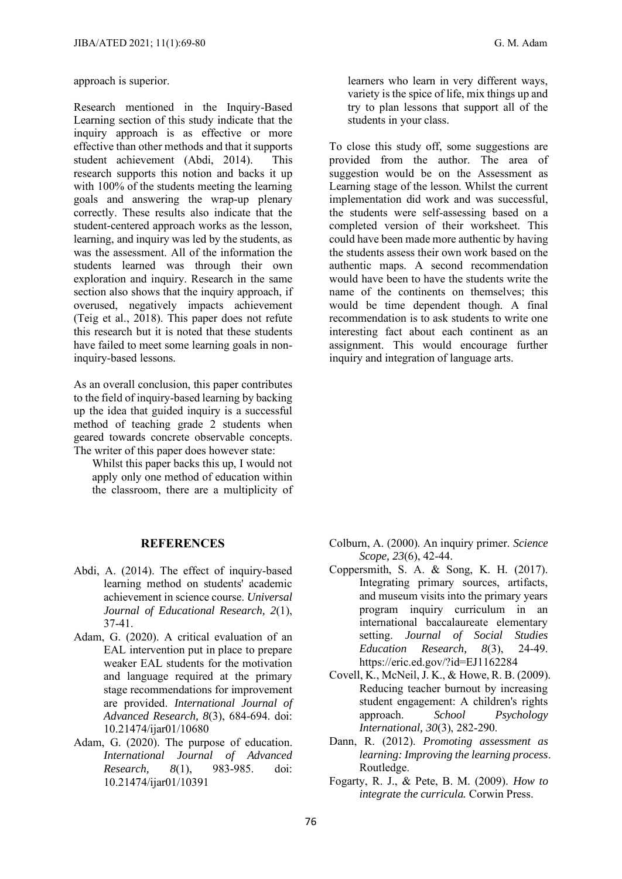#### approach is superior.

Research mentioned in the Inquiry-Based Learning section of this study indicate that the inquiry approach is as effective or more effective than other methods and that it supports student achievement (Abdi, 2014). This research supports this notion and backs it up with 100% of the students meeting the learning goals and answering the wrap-up plenary correctly. These results also indicate that the student-centered approach works as the lesson, learning, and inquiry was led by the students, as was the assessment. All of the information the students learned was through their own exploration and inquiry. Research in the same section also shows that the inquiry approach, if overused, negatively impacts achievement (Teig et al., 2018). This paper does not refute this research but it is noted that these students have failed to meet some learning goals in noninquiry-based lessons.

As an overall conclusion, this paper contributes to the field of inquiry-based learning by backing up the idea that guided inquiry is a successful method of teaching grade 2 students when geared towards concrete observable concepts. The writer of this paper does however state:

Whilst this paper backs this up, I would not apply only one method of education within the classroom, there are a multiplicity of

## **REFERENCES**

- Abdi, A. (2014). The effect of inquiry-based learning method on students' academic achievement in science course. *Universal Journal of Educational Research, 2*(1), 37-41.
- Adam, G. (2020). A critical evaluation of an EAL intervention put in place to prepare weaker EAL students for the motivation and language required at the primary stage recommendations for improvement are provided. *International Journal of Advanced Research, 8*(3), 684-694. doi: 10.21474/ijar01/10680
- Adam, G. (2020). The purpose of education. *International Journal of Advanced Research, 8*(1), 983-985. doi: 10.21474/ijar01/10391

learners who learn in very different ways, variety is the spice of life, mix things up and try to plan lessons that support all of the students in your class.

To close this study off, some suggestions are provided from the author. The area of suggestion would be on the Assessment as Learning stage of the lesson. Whilst the current implementation did work and was successful, the students were self-assessing based on a completed version of their worksheet. This could have been made more authentic by having the students assess their own work based on the authentic maps. A second recommendation would have been to have the students write the name of the continents on themselves; this would be time dependent though. A final recommendation is to ask students to write one interesting fact about each continent as an assignment. This would encourage further inquiry and integration of language arts.

- Colburn, A. (2000). An inquiry primer. *Science Scope, 23*(6), 42-44.
- Coppersmith, S. A. & Song, K. H. (2017). Integrating primary sources, artifacts, and museum visits into the primary years program inquiry curriculum in an international baccalaureate elementary setting. *Journal of Social Studies Education Research, 8*(3), 24-49. https://eric.ed.gov/?id=EJ1162284
- Covell, K., McNeil, J. K., & Howe, R. B. (2009). Reducing teacher burnout by increasing student engagement: A children's rights approach. *School Psychology International, 30*(3), 282-290.
- Dann, R. (2012). *Promoting assessment as learning: Improving the learning process*. Routledge.
- Fogarty, R. J., & Pete, B. M. (2009). *How to integrate the curricula.* Corwin Press.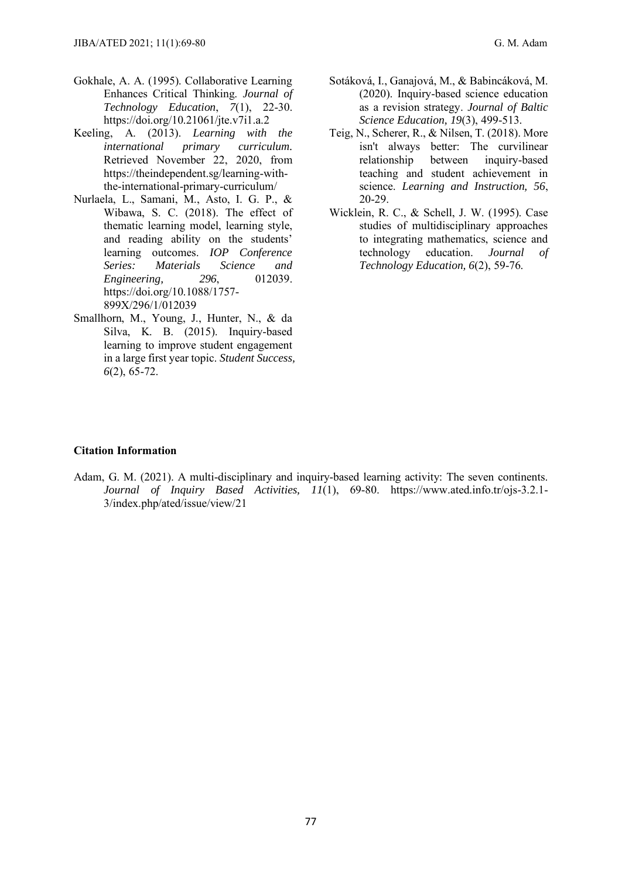- Gokhale, A. A. (1995). Collaborative Learning Enhances Critical Thinking. *Journal of Technology Education*, *7*(1), 22-30. https://doi.org/10.21061/jte.v7i1.a.2
- Keeling, A. (2013). *Learning with the international primary curriculum.* Retrieved November 22, 2020, from [https://theindependent.sg/learning-with](https://theindependent.sg/learning-with-the-international-primary-curriculum/)[the-international-primary-curriculum/](https://theindependent.sg/learning-with-the-international-primary-curriculum/)
- Nurlaela, L., Samani, M., Asto, I. G. P., & Wibawa, S. C. (2018). The effect of thematic learning model, learning style, and reading ability on the students' learning outcomes. *IOP Conference Series: Materials Science and Engineering, 296*, 012039. https://doi.org/10.1088/1757- 899X/296/1/012039
- Smallhorn, M., Young, J., Hunter, N., & da Silva, K. B. (2015). Inquiry-based learning to improve student engagement in a large first year topic. *Student Success, 6*(2), 65-72.
- Sotáková, I., Ganajová, M., & Babincáková, M. (2020). Inquiry-based science education as a revision strategy. *Journal of Baltic Science Education, 19*(3), 499-513.
- Teig, N., Scherer, R., & Nilsen, T. (2018). More isn't always better: The curvilinear relationship between inquiry-based teaching and student achievement in science. *Learning and Instruction, 56*, 20-29.
- Wicklein, R. C., & Schell, J. W. (1995). Case studies of multidisciplinary approaches to integrating mathematics, science and technology education. *Journal of Technology Education, 6*(2), 59-76.

#### **Citation Information**

Adam, G. M. (2021). A multi-disciplinary and inquiry-based learning activity: The seven continents. *Journal of Inquiry Based Activities, 11*(1), 69-80. https://www.ated.info.tr/ojs-3.2.1- 3/index.php/ated/issue/view/21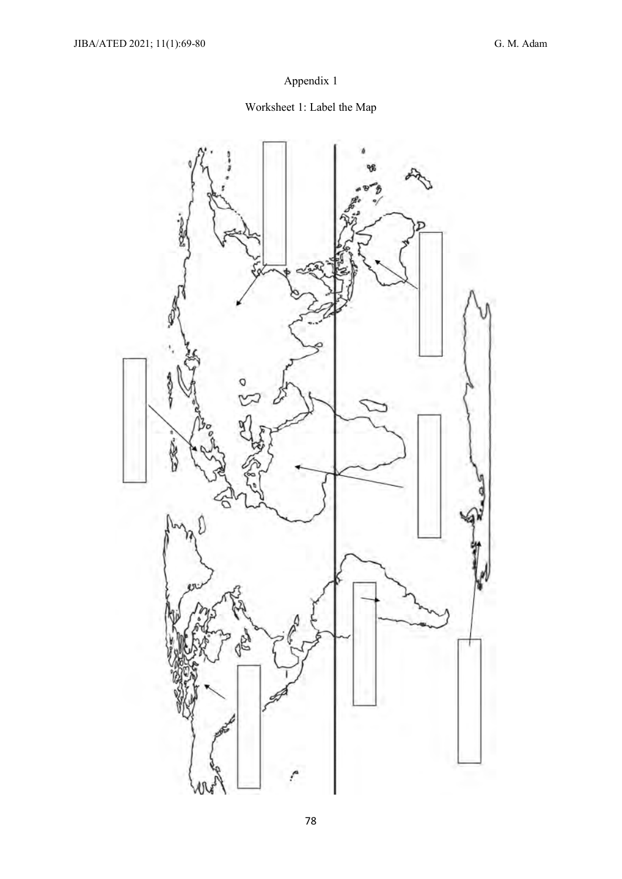# Appendix 1

# Worksheet 1: Label the Map

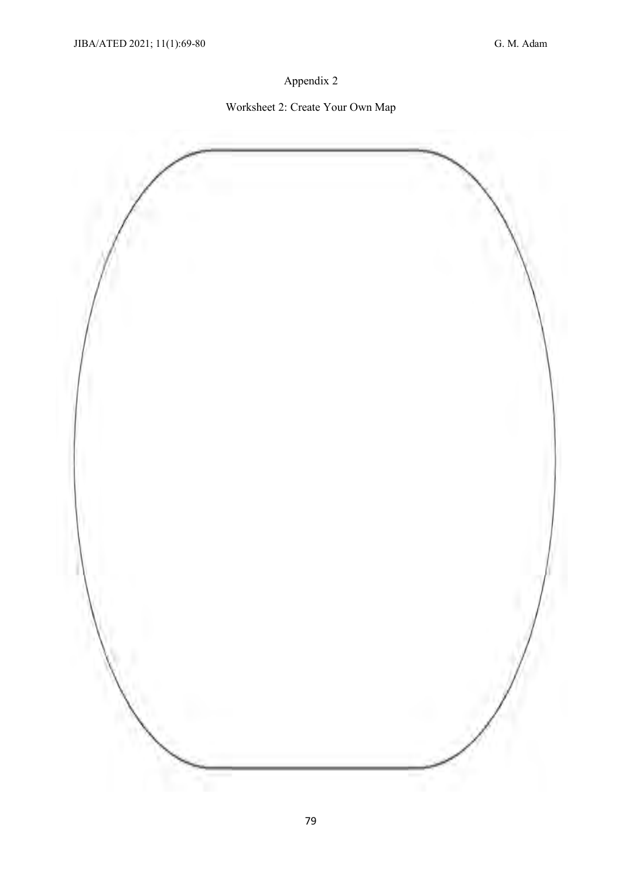Appendix 2

Worksheet 2: Create Your Own Map